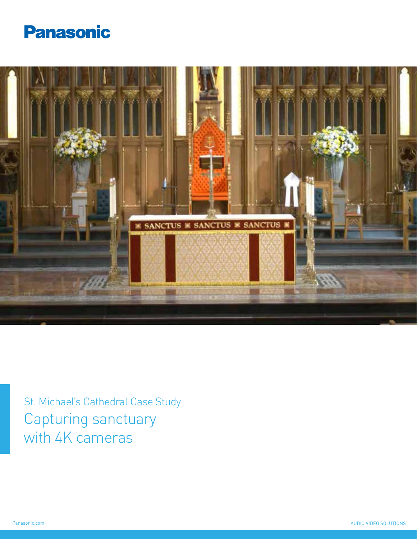



St. Michael's Cathedral Case Study Capturing sanctuary with 4K cameras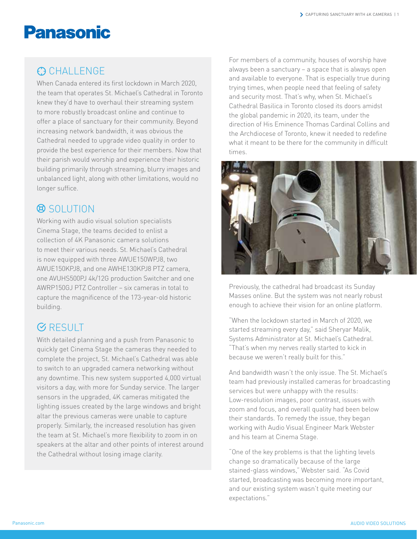## **Panasonic**

#### **C** CHALLENGE

When Canada entered its first lockdown in March 2020, the team that operates St. Michael's Cathedral in Toronto knew they'd have to overhaul their streaming system to more robustly broadcast online and continue to offer a place of sanctuary for their community. Beyond increasing network bandwidth, it was obvious the Cathedral needed to upgrade video quality in order to provide the best experience for their members. Now that their parish would worship and experience their historic building primarily through streaming, blurry images and unbalanced light, along with other limitations, would no longer suffice.

#### **Q** SOLUTION

Working with audio visual solution specialists Cinema Stage, the teams decided to enlist a collection of 4K Panasonic camera solutions to meet their various needs. St. Michael's Cathedral is now equipped with three AWUE150WPJ8, two AWUE150KPJ8, and one AWHE130KPJ8 PTZ camera, one AVUHS500PJ 4k/12G production Switcher and one AWRP150GJ PTZ Controller – six cameras in total to capture the magnificence of the 173-year-old historic building.

#### **GRESULT**

With detailed planning and a push from Panasonic to quickly get Cinema Stage the cameras they needed to complete the project, St. Michael's Cathedral was able to switch to an upgraded camera networking without any downtime. This new system supported 4,000 virtual visitors a day, with more for Sunday service. The larger sensors in the upgraded, 4K cameras mitigated the lighting issues created by the large windows and bright altar the previous cameras were unable to capture properly. Similarly, the increased resolution has given the team at St. Michael's more flexibility to zoom in on speakers at the altar and other points of interest around the Cathedral without losing image clarity.

For members of a community, houses of worship have always been a sanctuary – a space that is always open and available to everyone. That is especially true during trying times, when people need that feeling of safety and security most. That's why, when St. Michael's Cathedral Basilica in Toronto closed its doors amidst the global pandemic in 2020, its team, under the direction of His Eminence Thomas Cardinal Collins and the Archdiocese of Toronto, knew it needed to redefine what it meant to be there for the community in difficult times.



Previously, the cathedral had broadcast its Sunday Masses online. But the system was not nearly robust enough to achieve their vision for an online platform.

"When the lockdown started in March of 2020, we started streaming every day," said Sheryar Malik, Systems Administrator at St. Michael's Cathedral. "That's when my nerves really started to kick in because we weren't really built for this."

And bandwidth wasn't the only issue. The St. Michael's team had previously installed cameras for broadcasting services but were unhappy with the results: Low-resolution images, poor contrast, issues with zoom and focus, and overall quality had been below their standards. To remedy the issue, they began working with Audio Visual Engineer Mark Webster and his team at Cinema Stage.

"One of the key problems is that the lighting levels change so dramatically because of the large stained-glass windows," Webster said. "As Covid started, broadcasting was becoming more important, and our existing system wasn't quite meeting our expectations."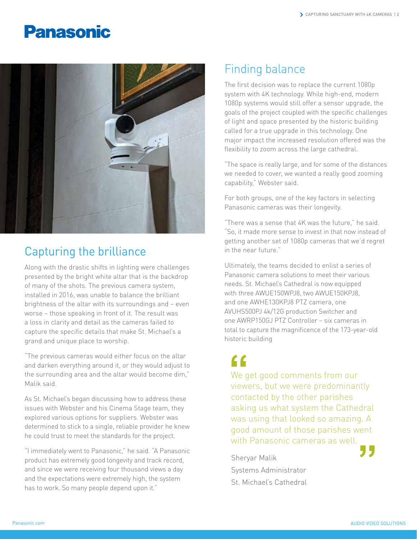## **Panasonic**



#### Capturing the brilliance

Along with the drastic shifts in lighting were challenges presented by the bright white altar that is the backdrop of many of the shots. The previous camera system, installed in 2016, was unable to balance the brilliant brightness of the altar with its surroundings and – even worse – those speaking in front of it. The result was a loss in clarity and detail as the cameras failed to capture the specific details that make St. Michael's a grand and unique place to worship.

"The previous cameras would either focus on the altar and darken everything around it, or they would adjust to the surrounding area and the altar would become dim," Malik said.

As St. Michael's began discussing how to address these issues with Webster and his Cinema Stage team, they explored various options for suppliers. Webster was determined to stick to a single, reliable provider he knew he could trust to meet the standards for the project.

"I immediately went to Panasonic," he said. "A Panasonic product has extremely good longevity and track record, and since we were receiving four thousand views a day and the expectations were extremely high, the system has to work. So many people depend upon it."

#### Finding balance

The first decision was to replace the current 1080p system with 4K technology. While high-end, modern 1080p systems would still offer a sensor upgrade, the goals of the project coupled with the specific challenges of light and space presented by the historic building called for a true upgrade in this technology. One major impact the increased resolution offered was the flexibility to zoom across the large cathedral.

"The space is really large, and for some of the distances we needed to cover, we wanted a really good zooming capability," Webster said.

For both groups, one of the key factors in selecting Panasonic cameras was their longevity.

"There was a sense that 4K was the future," he said. "So, it made more sense to invest in that now instead of getting another set of 1080p cameras that we'd regret in the near future."

Ultimately, the teams decided to enlist a series of Panasonic camera solutions to meet their various needs. St. Michael's Cathedral is now equipped with three AWUE150WPJ8, two AWUE150KPJ8, and one AWHE130KPJ8 PTZ camera, one AVUHS500PJ 4k/12G production Switcher and one AWRP150GJ PTZ Controller – six cameras in total to capture the magnificence of the 173-year-old historic building

We get good comments from our viewers, but we were predominantly contacted by the other parishes asking us what system the Cathedral was using that looked so amazing. A good amount of those parishes went with Panasonic cameras as well. **f**<br>
We g<br>
view good amount of those parishes went<br>with Panasonic cameras as well.<br>Sheryar Malik

Systems Administrator St. Michael's Cathedral